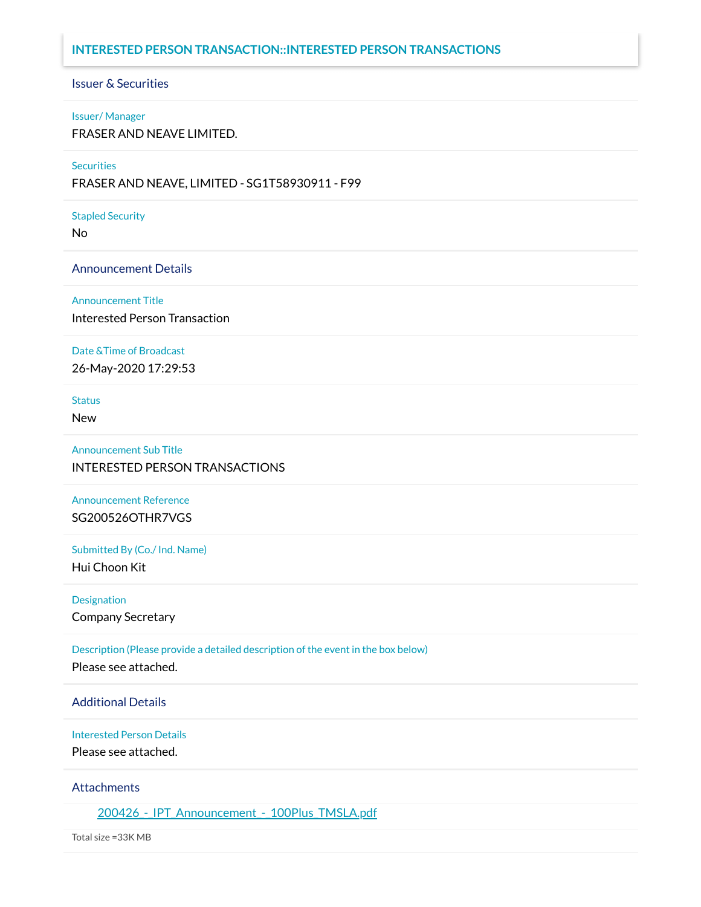### **INTERESTED PERSON TRANSACTION::INTERESTED PERSON TRANSACTIONS**

# Issuer & Securities

#### Issuer/ Manager

FRASER AND NEAVE LIMITED.

### **Securities**

FRASER AND NEAVE, LIMITED - SG1T58930911 - F99

#### Stapled Security

No

### Announcement Details

Announcement Title

Interested Person Transaction

### Date &Time of Broadcast

26-May-2020 17:29:53

**Status** 

New

Announcement Sub Title INTERESTED PERSON TRANSACTIONS

Announcement Reference SG200526OTHR7VGS

Submitted By (Co./ Ind. Name) Hui Choon Kit

Designation

Company Secretary

Description (Please provide a detailed description of the event in the box below)

Please see attached.

### Additional Details

Interested Person Details

Please see attached.

### Attachments

200426 - IPT Announcement - 100Plus TMSLA.pdf

Total size =33K MB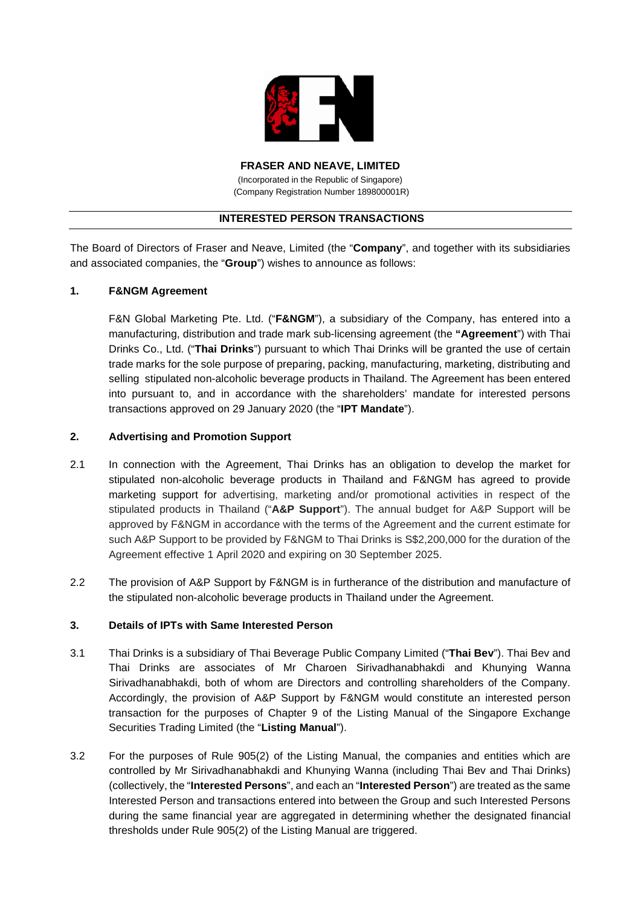

**FRASER AND NEAVE, LIMITED** (Incorporated in the Republic of Singapore)

(Company Registration Number 189800001R)

## **INTERESTED PERSON TRANSACTIONS**

The Board of Directors of Fraser and Neave, Limited (the "**Company**", and together with its subsidiaries and associated companies, the "**Group**") wishes to announce as follows:

# **1. F&NGM Agreement**

F&N Global Marketing Pte. Ltd. ("**F&NGM**"), a subsidiary of the Company, has entered into a manufacturing, distribution and trade mark sub-licensing agreement (the **"Agreement**") with Thai Drinks Co., Ltd. ("**Thai Drinks**") pursuant to which Thai Drinks will be granted the use of certain trade marks for the sole purpose of preparing, packing, manufacturing, marketing, distributing and selling stipulated non-alcoholic beverage products in Thailand. The Agreement has been entered into pursuant to, and in accordance with the shareholders' mandate for interested persons transactions approved on 29 January 2020 (the "**IPT Mandate**").

# **2. Advertising and Promotion Support**

- 2.1 In connection with the Agreement, Thai Drinks has an obligation to develop the market for stipulated non-alcoholic beverage products in Thailand and F&NGM has agreed to provide marketing support for advertising, marketing and/or promotional activities in respect of the stipulated products in Thailand ("**A&P Support**"). The annual budget for A&P Support will be approved by F&NGM in accordance with the terms of the Agreement and the current estimate for such A&P Support to be provided by F&NGM to Thai Drinks is S\$2,200,000 for the duration of the Agreement effective 1 April 2020 and expiring on 30 September 2025.
- 2.2 The provision of A&P Support by F&NGM is in furtherance of the distribution and manufacture of the stipulated non-alcoholic beverage products in Thailand under the Agreement.

### **3. Details of IPTs with Same Interested Person**

- 3.1 Thai Drinks is a subsidiary of Thai Beverage Public Company Limited ("**Thai Bev**"). Thai Bev and Thai Drinks are associates of Mr Charoen Sirivadhanabhakdi and Khunying Wanna Sirivadhanabhakdi, both of whom are Directors and controlling shareholders of the Company. Accordingly, the provision of A&P Support by F&NGM would constitute an interested person transaction for the purposes of Chapter 9 of the Listing Manual of the Singapore Exchange Securities Trading Limited (the "**Listing Manual**").
- 3.2 For the purposes of Rule 905(2) of the Listing Manual, the companies and entities which are controlled by Mr Sirivadhanabhakdi and Khunying Wanna (including Thai Bev and Thai Drinks) (collectively, the "**Interested Persons**", and each an "**Interested Person**") are treated as the same Interested Person and transactions entered into between the Group and such Interested Persons during the same financial year are aggregated in determining whether the designated financial thresholds under Rule 905(2) of the Listing Manual are triggered.